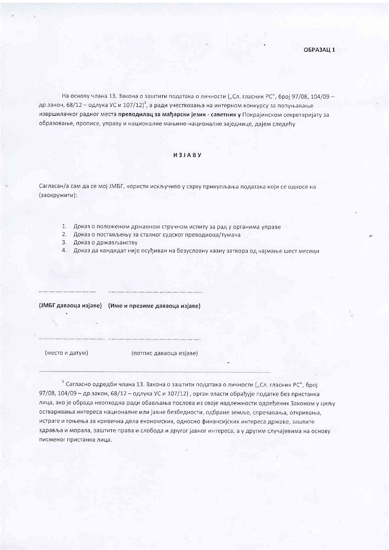На основу члана 13. Закона о заштити података о личности ("Сл. гласник РС", број 97/08, 104/09 др.закон, 68/12 - одлука УС и 107/12)<sup>1</sup>, а ради учествовања на интерном конкурсу за попуњавање извршилачког радног места преводилац за мађарски језик - саветник у Покрајинском секретаријату за образовање, прописе, управу и националне мањине-националне заједнице, дајем следећу

## *M3JABY*

Сагласан/а сам да се мој ЈМБГ, користи искључиво у сврху прикупљања података који се односе на (заокружити):

- 1. Доказ о положеном државном стручном испиту за рад у органима управе
- 2. Доказ о постављењу за сталног судског преводиоца/тумача
- 3. Доказ о држављанству

4. Доказ да кандидат није осуђиван на безусловну казну затвора од најмање шест месеци

.................................

(ЈМБГ даваоца изјаве) (Име и презиме даваоца изјаве)

(место и датум)

(потпис даваоца изјаве)

<sup>1</sup> Сагласно одредби члана 13. Закона о заштити података о личности ("Сл. гласник РС", број 97/08, 104/09 - др.закон, 68/12 - одлука УС и 107/12), орган власти обрађује податке без пристанка лица, ако је обрада неопходна ради обављања послова из своје надлежности одређених Законом у циљу остваривања интереса националне или јавне безбедности, одбране земље, спречавања, откривања, истраге и гоњења за кривична дела економских, односно финансијских интереса државе, заштите здравља и морала, заштите права и слобода и другог јавног интереса, а у другим случајевима на основу писменог пристанка лица.